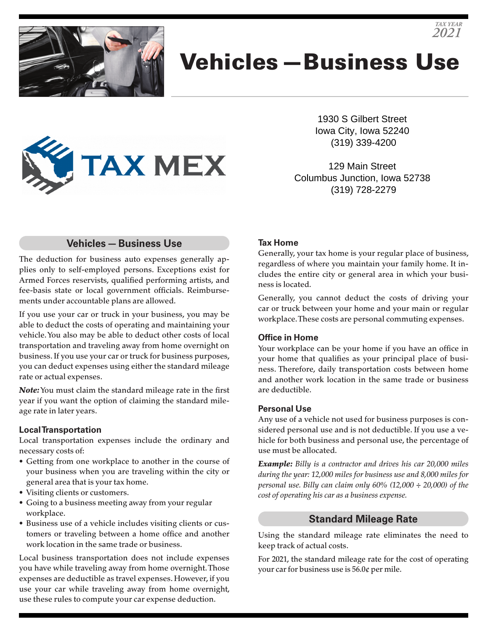

# Vehicles—Business Use

1930 S Gilbert Street Iowa City, Iowa 52240 (319) 339-4200

*TAX YEAR 2021*

129 Main Street Columbus Junction, Iowa 52738 (319) 728-2279

# **Vehicles—Business Use**

**TAX MEX** 

The deduction for business auto expenses generally applies only to self-employed persons. Exceptions exist for Armed Forces reservists, qualified performing artists, and fee-basis state or local government officials. Reimbursements under accountable plans are allowed.

If you use your car or truck in your business, you may be able to deduct the costs of operating and maintaining your vehicle. You also may be able to deduct other costs of local transportation and traveling away from home overnight on business. If you use your car or truck for business purposes, you can deduct expenses using either the standard mileage rate or actual expenses.

*Note:* You must claim the standard mileage rate in the first year if you want the option of claiming the standard mileage rate in later years.

#### **Local Transportation**

Local transportation expenses include the ordinary and necessary costs of:

- Getting from one workplace to another in the course of your business when you are traveling within the city or general area that is your tax home.
- Visiting clients or customers.
- Going to a business meeting away from your regular workplace.
- Business use of a vehicle includes visiting clients or customers or traveling between a home office and another work location in the same trade or business.

Local business transportation does not include expenses you have while traveling away from home overnight. Those expenses are deductible as travel expenses. However, if you use your car while traveling away from home overnight, use these rules to compute your car expense deduction.

### **Tax Home**

Generally, your tax home is your regular place of business, regardless of where you maintain your family home. It includes the entire city or general area in which your business is located.

Generally, you cannot deduct the costs of driving your car or truck between your home and your main or regular workplace. These costs are personal commuting expenses.

### **Office in Home**

Your workplace can be your home if you have an office in your home that qualifies as your principal place of business. Therefore, daily transportation costs between home and another work location in the same trade or business are deductible.

### **Personal Use**

Any use of a vehicle not used for business purposes is considered personal use and is not deductible. If you use a vehicle for both business and personal use, the percentage of use must be allocated.

*Example: Billy is a contractor and drives his car 20,000 miles during the year: 12,000 miles for business use and 8,000 miles for personal use. Billy can claim only 60% (12,000 ÷ 20,000) of the cost of operating his car as a business expense.*

#### **Standard Mileage Rate**

Using the standard mileage rate eliminates the need to keep track of actual costs.

For 2021, the standard mileage rate for the cost of operating your car for business use is 56.0¢ per mile.